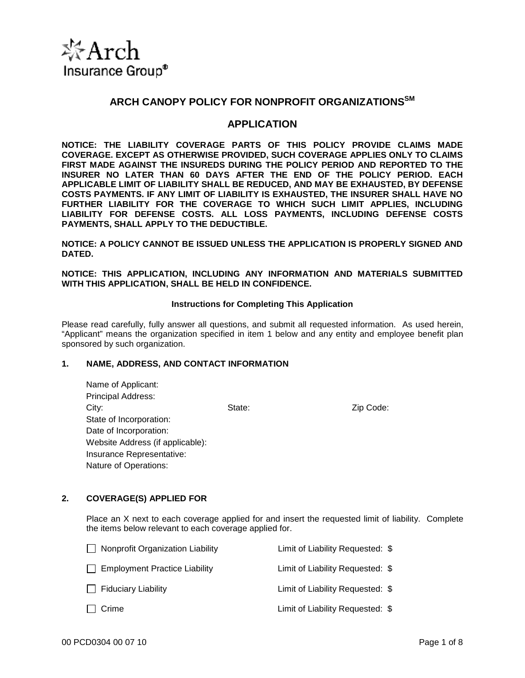

# **ARCH CANOPY POLICY FOR NONPROFIT ORGANIZATIONSSM**

# **APPLICATION**

**NOTICE: THE LIABILITY COVERAGE PARTS OF THIS POLICY PROVIDE CLAIMS MADE COVERAGE. EXCEPT AS OTHERWISE PROVIDED, SUCH COVERAGE APPLIES ONLY TO CLAIMS FIRST MADE AGAINST THE INSUREDS DURING THE POLICY PERIOD AND REPORTED TO THE INSURER NO LATER THAN 60 DAYS AFTER THE END OF THE POLICY PERIOD. EACH APPLICABLE LIMIT OF LIABILITY SHALL BE REDUCED, AND MAY BE EXHAUSTED, BY DEFENSE COSTS PAYMENTS. IF ANY LIMIT OF LIABILITY IS EXHAUSTED, THE INSURER SHALL HAVE NO FURTHER LIABILITY FOR THE COVERAGE TO WHICH SUCH LIMIT APPLIES, INCLUDING LIABILITY FOR DEFENSE COSTS. ALL LOSS PAYMENTS, INCLUDING DEFENSE COSTS PAYMENTS, SHALL APPLY TO THE DEDUCTIBLE.** 

**NOTICE: A POLICY CANNOT BE ISSUED UNLESS THE APPLICATION IS PROPERLY SIGNED AND DATED.** 

**NOTICE: THIS APPLICATION, INCLUDING ANY INFORMATION AND MATERIALS SUBMITTED WITH THIS APPLICATION, SHALL BE HELD IN CONFIDENCE.** 

#### **Instructions for Completing This Application**

Please read carefully, fully answer all questions, and submit all requested information. As used herein, "Applicant" means the organization specified in item 1 below and any entity and employee benefit plan sponsored by such organization.

## **1. NAME, ADDRESS, AND CONTACT INFORMATION**

| Name of Applicant:               |
|----------------------------------|
| <b>Principal Address:</b>        |
| City:                            |
| State of Incorporation:          |
| Date of Incorporation:           |
| Website Address (if applicable): |
| Insurance Representative:        |
| Nature of Operations:            |

State: Zip Code:

## **2. COVERAGE(S) APPLIED FOR**

Place an X next to each coverage applied for and insert the requested limit of liability. Complete the items below relevant to each coverage applied for.

| $\Box$ Nonprofit Organization Liability | Limit of Liability Requested: \$ |  |
|-----------------------------------------|----------------------------------|--|
| $\Box$ Employment Practice Liability    | Limit of Liability Requested: \$ |  |
| $\Box$ Fiduciary Liability              | Limit of Liability Requested: \$ |  |
| $\Box$ Crime                            | Limit of Liability Requested: \$ |  |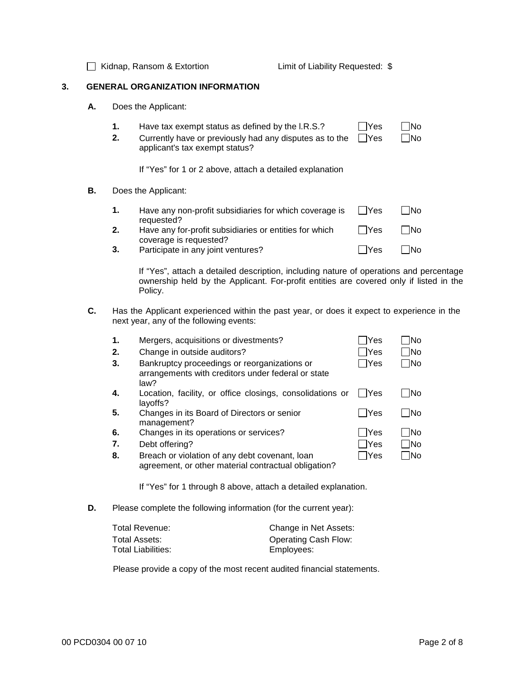□ Kidnap, Ransom & Extortion Limit of Liability Requested: \$

## **3. GENERAL ORGANIZATION INFORMATION**

- **A.** Does the Applicant:
	- **1.** Have tax exempt status as defined by the I.R.S.?  $\Box$  Yes  $\Box$  No
	- **2.** Currently have or previously had any disputes as to the  $\Box$ Yes applicant's tax exempt status?  $\Box$ No

If "Yes" for 1 or 2 above, attach a detailed explanation

#### **B.** Does the Applicant:

| 1. | Have any non-profit subsidiaries for which coverage is<br>requested?             | $\Box$ Yes | No.        |
|----|----------------------------------------------------------------------------------|------------|------------|
| 2. | Have any for-profit subsidiaries or entities for which<br>coverage is requested? | l lYes     | l INo      |
| 3. | Participate in any joint ventures?                                               | l lYes     | <b>INo</b> |

If "Yes", attach a detailed description, including nature of operations and percentage ownership held by the Applicant. For-profit entities are covered only if listed in the Policy.

**C.** Has the Applicant experienced within the past year, or does it expect to experience in the next year, any of the following events:

| 1.           | Mergers, acquisitions or divestments?                                                                      | <b>Yes</b>    | <b>No</b>  |
|--------------|------------------------------------------------------------------------------------------------------------|---------------|------------|
| 2.           | Change in outside auditors?                                                                                | $\exists$ Yes | <b>No</b>  |
| 3.           | Bankruptcy proceedings or reorganizations or<br>arrangements with creditors under federal or state<br>law? | 7Yes          | <b>No</b>  |
| $\mathbf{4}$ | Location, facility, or office closings, consolidations or<br>layoffs?                                      | l lYes        | <b>No</b>  |
| 5.           | Changes in its Board of Directors or senior<br>management?                                                 | <b>IYes</b>   | lNo        |
| 6.           | Changes in its operations or services?                                                                     | lYes          | <b>INo</b> |
| 7.           | Debt offering?                                                                                             | $\exists$ Yes | 1No        |
| 8.           | Breach or violation of any debt covenant, loan<br>agreement, or other material contractual obligation?     | ∏Yes          | 7No        |

If "Yes" for 1 through 8 above, attach a detailed explanation.

**D.** Please complete the following information (for the current year):

| Total Revenue:     | Change in Net Assets:       |
|--------------------|-----------------------------|
| Total Assets:      | <b>Operating Cash Flow:</b> |
| Total Liabilities: | Employees:                  |

Please provide a copy of the most recent audited financial statements.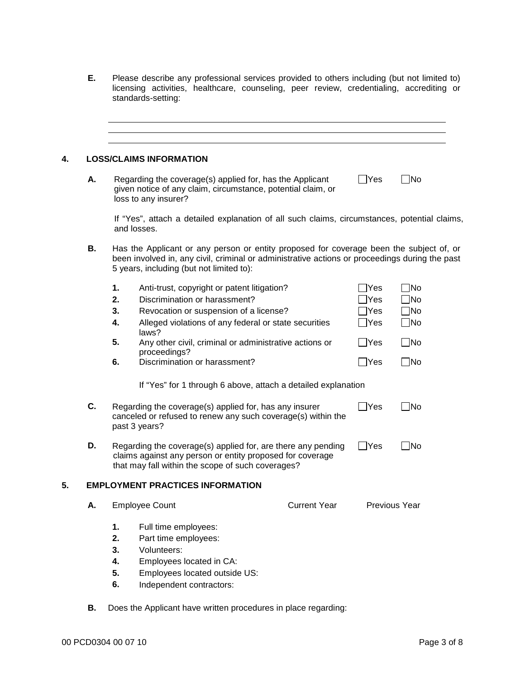|                    |  |  | Please describe any professional services provided to others including (but not limited to) |  |
|--------------------|--|--|---------------------------------------------------------------------------------------------|--|
|                    |  |  | licensing activities, healthcare, counseling, peer review, credentialing, accrediting or    |  |
| standards-setting: |  |  |                                                                                             |  |

|    |    | <b>LOSS/CLAIMS INFORMATION</b>                                                                                                                                                                                                        |                     |              |               |
|----|----|---------------------------------------------------------------------------------------------------------------------------------------------------------------------------------------------------------------------------------------|---------------------|--------------|---------------|
| Α. |    | Regarding the coverage(s) applied for, has the Applicant<br>given notice of any claim, circumstance, potential claim, or<br>loss to any insurer?                                                                                      |                     | $\sqcup$ Yes | $\Box$ No     |
|    |    | If "Yes", attach a detailed explanation of all such claims, circumstances, potential claims,<br>and losses.                                                                                                                           |                     |              |               |
| В. |    | Has the Applicant or any person or entity proposed for coverage been the subject of, or<br>been involved in, any civil, criminal or administrative actions or proceedings during the past<br>5 years, including (but not limited to): |                     |              |               |
|    | 1. | Anti-trust, copyright or patent litigation?                                                                                                                                                                                           |                     | <b>Yes</b>   | <b>No</b>     |
|    | 2. | Discrimination or harassment?                                                                                                                                                                                                         |                     | Yes          | <b>No</b>     |
|    | 3. | Revocation or suspension of a license?                                                                                                                                                                                                |                     | Yes]         | $\neg$ No     |
|    | 4. | Alleged violations of any federal or state securities                                                                                                                                                                                 |                     | Yes          | $\neg$ No     |
|    | 5. | laws?<br>Any other civil, criminal or administrative actions or                                                                                                                                                                       |                     | $\Box$ Yes   | $\Box$ No     |
|    | 6. | proceedings?<br>Discrimination or harassment?                                                                                                                                                                                         |                     | ∣ ∣Yes       | $\Box$ No     |
|    |    | If "Yes" for 1 through 6 above, attach a detailed explanation                                                                                                                                                                         |                     |              |               |
| C. |    | Regarding the coverage(s) applied for, has any insurer<br>canceled or refused to renew any such coverage(s) within the<br>past 3 years?                                                                                               |                     | $\Box$ Yes   | $\square$ No  |
| D. |    | Regarding the coverage(s) applied for, are there any pending<br>claims against any person or entity proposed for coverage<br>that may fall within the scope of such coverages?                                                        |                     | Yes          | No            |
|    |    | <b>EMPLOYMENT PRACTICES INFORMATION</b>                                                                                                                                                                                               |                     |              |               |
| А. |    | <b>Employee Count</b>                                                                                                                                                                                                                 | <b>Current Year</b> |              | Previous Year |
|    | 1. | Full time employees:                                                                                                                                                                                                                  |                     |              |               |
|    | 2. | Part time employees:                                                                                                                                                                                                                  |                     |              |               |
|    | 3. | Volunteers:                                                                                                                                                                                                                           |                     |              |               |
|    | 4. | Employees located in CA:                                                                                                                                                                                                              |                     |              |               |
|    | 5. | Employees located outside US:                                                                                                                                                                                                         |                     |              |               |
|    | 6. | Independent contractors:                                                                                                                                                                                                              |                     |              |               |

**B.** Does the Applicant have written procedures in place regarding: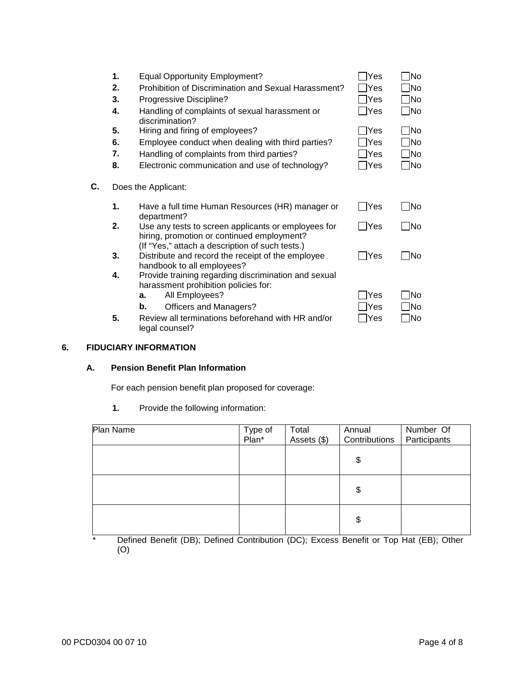|    | 1. |    | <b>Equal Opportunity Employment?</b>                                                                                                                 | lYes        | ]No       |
|----|----|----|------------------------------------------------------------------------------------------------------------------------------------------------------|-------------|-----------|
|    | 2. |    | Prohibition of Discrimination and Sexual Harassment?                                                                                                 | Yes         | No.       |
|    | 3. |    | Progressive Discipline?                                                                                                                              | Yes         | ]No       |
|    | 4. |    | Handling of complaints of sexual harassment or<br>discrimination?                                                                                    | lYes        | $\Box$ No |
|    | 5. |    | Hiring and firing of employees?                                                                                                                      | <b>Yes</b>  | 1No       |
|    | 6. |    | Employee conduct when dealing with third parties?                                                                                                    | Yes         | 1No       |
|    | 7. |    | Handling of complaints from third parties?                                                                                                           | Yes         | ]No       |
|    | 8. |    | Electronic communication and use of technology?                                                                                                      | Yes         | 7No       |
| С. |    |    | Does the Applicant:                                                                                                                                  |             |           |
|    | 1. |    | Have a full time Human Resources (HR) manager or<br>department?                                                                                      | IYes        | <b>No</b> |
|    | 2. |    | Use any tests to screen applicants or employees for<br>hiring, promotion or continued employment?<br>(If "Yes," attach a description of such tests.) | TYes]       | 1No       |
|    | 3. |    | Distribute and record the receipt of the employee<br>handbook to all employees?                                                                      | <b>IYes</b> | <b>No</b> |
|    | 4. |    | Provide training regarding discrimination and sexual<br>harassment prohibition policies for:                                                         |             |           |
|    |    | а. | All Employees?                                                                                                                                       | Yes         | lNo       |
|    |    | b. | <b>Officers and Managers?</b>                                                                                                                        | Yes         | No        |
|    | 5. |    | Review all terminations beforehand with HR and/or<br>legal counsel?                                                                                  | Yes         | 1No       |

# **6. FIDUCIARY INFORMATION**

# **A. Pension Benefit Plan Information**

For each pension benefit plan proposed for coverage:

**1.** Provide the following information:

| Plan Name | Type of  | Total       | Annual        | Number Of    |
|-----------|----------|-------------|---------------|--------------|
|           | $Pian^*$ | Assets (\$) | Contributions | Participants |
|           |          |             | \$            |              |
|           |          |             | \$            |              |
|           |          |             | \$            |              |

\* Defined Benefit (DB); Defined Contribution (DC); Excess Benefit or Top Hat (EB); Other (O)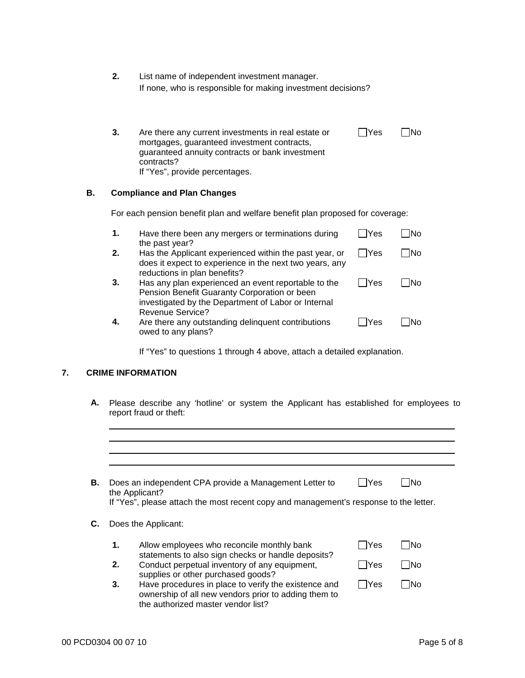| 2. | List name of independent investment manager.                 |
|----|--------------------------------------------------------------|
|    | If none, who is responsible for making investment decisions? |

| 3. | Are there any current investments in real estate or | l IYes | <b>INo</b> |
|----|-----------------------------------------------------|--------|------------|
|    | mortgages, guaranteed investment contracts,         |        |            |
|    | guaranteed annuity contracts or bank investment     |        |            |
|    | contracts?                                          |        |            |
|    | If "Yes", provide percentages.                      |        |            |

# **B. Compliance and Plan Changes**

For each pension benefit plan and welfare benefit plan proposed for coverage:

| 1. | Have there been any mergers or terminations during<br>the past year?                                                                                       | lYes   | lNo        |
|----|------------------------------------------------------------------------------------------------------------------------------------------------------------|--------|------------|
| 2. | Has the Applicant experienced within the past year, or<br>does it expect to experience in the next two years, any<br>reductions in plan benefits?          | l IYes | <b>INo</b> |
| 3. | Has any plan experienced an event reportable to the<br>Pension Benefit Guaranty Corporation or been<br>investigated by the Department of Labor or Internal | lYes   | lNo        |
| 4. | Revenue Service?<br>Are there any outstanding delinquent contributions<br>owed to any plans?                                                               | Yes    | lNo        |

If "Yes" to questions 1 through 4 above, attach a detailed explanation.

# **7. CRIME INFORMATION**

**A.** Please describe any 'hotline' or system the Applicant has established for employees to report fraud or theft:

|                           |                                                                                                         | Does an independent CPA provide a Management Letter to                                                                                             | Yes  | <b>INo</b> |  |  |  |  |
|---------------------------|---------------------------------------------------------------------------------------------------------|----------------------------------------------------------------------------------------------------------------------------------------------------|------|------------|--|--|--|--|
|                           | the Applicant?<br>If "Yes", please attach the most recent copy and management's response to the letter. |                                                                                                                                                    |      |            |  |  |  |  |
| С.<br>Does the Applicant: |                                                                                                         |                                                                                                                                                    |      |            |  |  |  |  |
|                           | 1.                                                                                                      | Allow employees who reconcile monthly bank<br>statements to also sign checks or handle deposits?                                                   | lYes | <b>No</b>  |  |  |  |  |
|                           | 2.                                                                                                      | Conduct perpetual inventory of any equipment,<br>supplies or other purchased goods?                                                                | Yes  | <b>No</b>  |  |  |  |  |
|                           | 3.                                                                                                      | Have procedures in place to verify the existence and<br>ownership of all new vendors prior to adding them to<br>the authorized master vendor list? | Yes  | <b>No</b>  |  |  |  |  |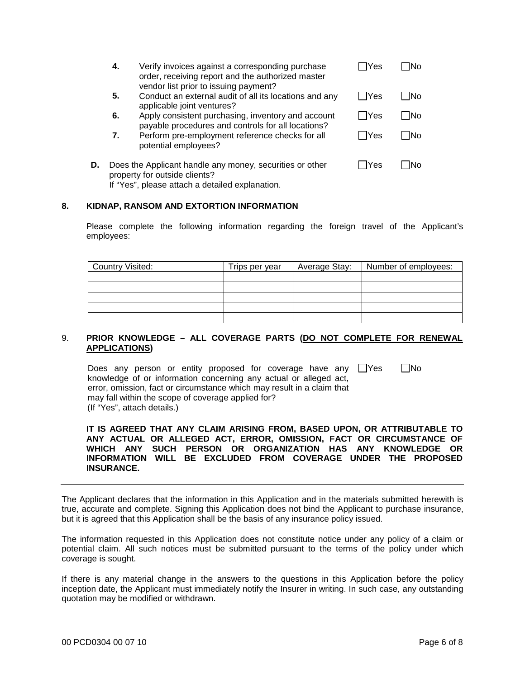|    | 4. | Verify invoices against a corresponding purchase<br>order, receiving report and the authorized master<br>vendor list prior to issuing payment? | lYes | lNo |
|----|----|------------------------------------------------------------------------------------------------------------------------------------------------|------|-----|
|    | 5. | Conduct an external audit of all its locations and any<br>applicable joint ventures?                                                           | lYes | INo |
|    | 6. | Apply consistent purchasing, inventory and account<br>payable procedures and controls for all locations?                                       | lYes | INo |
|    | 7. | Perform pre-employment reference checks for all<br>potential employees?                                                                        | Yes  | INo |
| D. |    | Does the Applicant handle any money, securities or other<br>property for outside clients?                                                      | Yes  | lNo |

If "Yes", please attach a detailed explanation.

#### **8. KIDNAP, RANSOM AND EXTORTION INFORMATION**

Please complete the following information regarding the foreign travel of the Applicant's employees:

| <b>Country Visited:</b> | Trips per year | Average Stay: | Number of employees: |
|-------------------------|----------------|---------------|----------------------|
|                         |                |               |                      |
|                         |                |               |                      |
|                         |                |               |                      |
|                         |                |               |                      |
|                         |                |               |                      |

## 9. **PRIOR KNOWLEDGE – ALL COVERAGE PARTS (DO NOT COMPLETE FOR RENEWAL APPLICATIONS)**

Does any person or entity proposed for coverage have any  $\Box$ Yes knowledge of or information concerning any actual or alleged act, error, omission, fact or circumstance which may result in a claim that may fall within the scope of coverage applied for?  $\Box$ No (If "Yes", attach details.)

**IT IS AGREED THAT ANY CLAIM ARISING FROM, BASED UPON, OR ATTRIBUTABLE TO ANY ACTUAL OR ALLEGED ACT, ERROR, OMISSION, FACT OR CIRCUMSTANCE OF WHICH ANY SUCH PERSON OR ORGANIZATION HAS ANY KNOWLEDGE OR INFORMATION WILL BE EXCLUDED FROM COVERAGE UNDER THE PROPOSED INSURANCE.** 

The Applicant declares that the information in this Application and in the materials submitted herewith is true, accurate and complete. Signing this Application does not bind the Applicant to purchase insurance, but it is agreed that this Application shall be the basis of any insurance policy issued.

The information requested in this Application does not constitute notice under any policy of a claim or potential claim. All such notices must be submitted pursuant to the terms of the policy under which coverage is sought.

If there is any material change in the answers to the questions in this Application before the policy inception date, the Applicant must immediately notify the Insurer in writing. In such case, any outstanding quotation may be modified or withdrawn.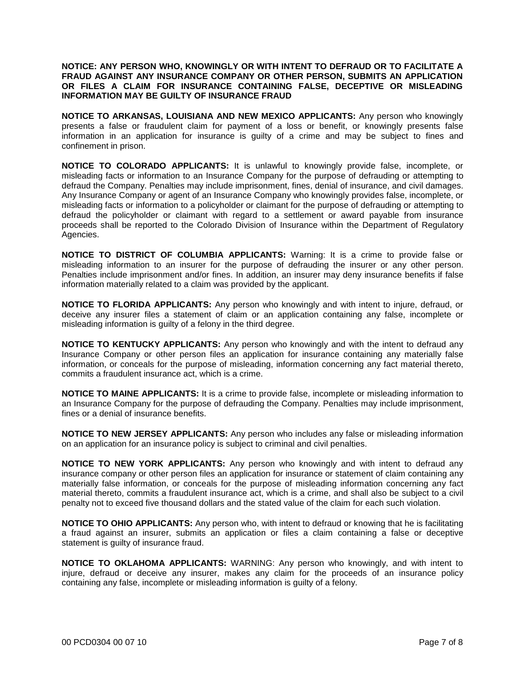### **NOTICE: ANY PERSON WHO, KNOWINGLY OR WITH INTENT TO DEFRAUD OR TO FACILITATE A FRAUD AGAINST ANY INSURANCE COMPANY OR OTHER PERSON, SUBMITS AN APPLICATION OR FILES A CLAIM FOR INSURANCE CONTAINING FALSE, DECEPTIVE OR MISLEADING INFORMATION MAY BE GUILTY OF INSURANCE FRAUD**

**NOTICE TO ARKANSAS, LOUISIANA AND NEW MEXICO APPLICANTS:** Any person who knowingly presents a false or fraudulent claim for payment of a loss or benefit, or knowingly presents false information in an application for insurance is guilty of a crime and may be subject to fines and confinement in prison.

**NOTICE TO COLORADO APPLICANTS:** It is unlawful to knowingly provide false, incomplete, or misleading facts or information to an Insurance Company for the purpose of defrauding or attempting to defraud the Company. Penalties may include imprisonment, fines, denial of insurance, and civil damages. Any Insurance Company or agent of an Insurance Company who knowingly provides false, incomplete, or misleading facts or information to a policyholder or claimant for the purpose of defrauding or attempting to defraud the policyholder or claimant with regard to a settlement or award payable from insurance proceeds shall be reported to the Colorado Division of Insurance within the Department of Regulatory Agencies.

**NOTICE TO DISTRICT OF COLUMBIA APPLICANTS:** Warning: It is a crime to provide false or misleading information to an insurer for the purpose of defrauding the insurer or any other person. Penalties include imprisonment and/or fines. In addition, an insurer may deny insurance benefits if false information materially related to a claim was provided by the applicant.

**NOTICE TO FLORIDA APPLICANTS:** Any person who knowingly and with intent to injure, defraud, or deceive any insurer files a statement of claim or an application containing any false, incomplete or misleading information is guilty of a felony in the third degree.

**NOTICE TO KENTUCKY APPLICANTS:** Any person who knowingly and with the intent to defraud any Insurance Company or other person files an application for insurance containing any materially false information, or conceals for the purpose of misleading, information concerning any fact material thereto, commits a fraudulent insurance act, which is a crime.

**NOTICE TO MAINE APPLICANTS:** It is a crime to provide false, incomplete or misleading information to an Insurance Company for the purpose of defrauding the Company. Penalties may include imprisonment, fines or a denial of insurance benefits.

**NOTICE TO NEW JERSEY APPLICANTS:** Any person who includes any false or misleading information on an application for an insurance policy is subject to criminal and civil penalties.

**NOTICE TO NEW YORK APPLICANTS:** Any person who knowingly and with intent to defraud any insurance company or other person files an application for insurance or statement of claim containing any materially false information, or conceals for the purpose of misleading information concerning any fact material thereto, commits a fraudulent insurance act, which is a crime, and shall also be subject to a civil penalty not to exceed five thousand dollars and the stated value of the claim for each such violation.

**NOTICE TO OHIO APPLICANTS:** Any person who, with intent to defraud or knowing that he is facilitating a fraud against an insurer, submits an application or files a claim containing a false or deceptive statement is guilty of insurance fraud.

**NOTICE TO OKLAHOMA APPLICANTS:** WARNING: Any person who knowingly, and with intent to injure, defraud or deceive any insurer, makes any claim for the proceeds of an insurance policy containing any false, incomplete or misleading information is guilty of a felony.